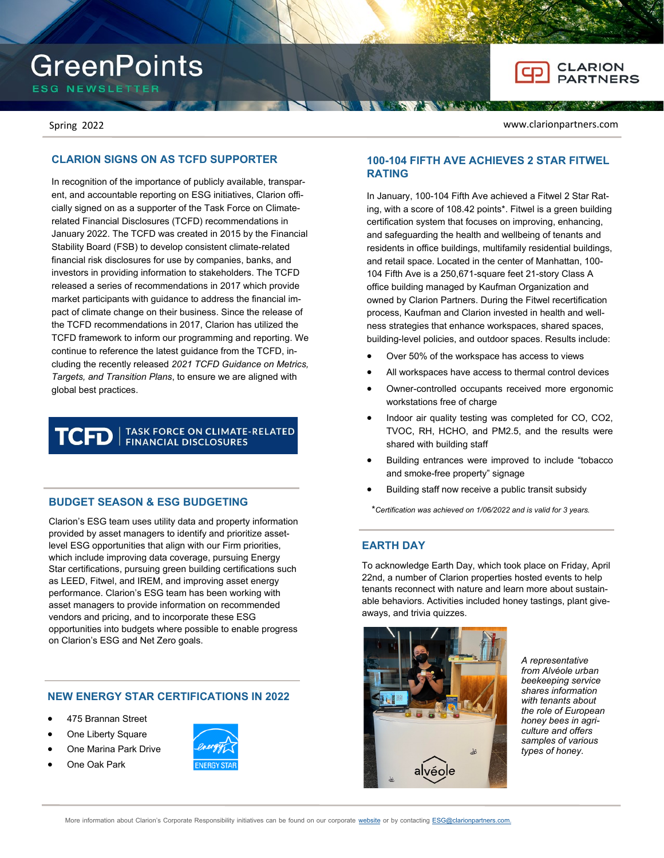# **GreenPoints**

**ESG NEWSLETTER** 

Spring 2022 www.clarionpartners.com

# **CLARION SIGNS ON AS TCFD SUPPORTER**

In recognition of the importance of publicly available, transparent, and accountable reporting on ESG initiatives, Clarion officially signed on as a supporter of the Task Force on Climaterelated Financial Disclosures (TCFD) recommendations in January 2022. The TCFD was created in 2015 by the Financial Stability Board (FSB) to develop consistent climate-related financial risk disclosures for use by companies, banks, and investors in providing information to stakeholders. The TCFD released a series of recommendations in 2017 which provide market participants with guidance to address the financial impact of climate change on their business. Since the release of the TCFD recommendations in 2017, Clarion has utilized the TCFD framework to inform our programming and reporting. We continue to reference the latest guidance from the TCFD, including the recently released *2021 TCFD Guidance on Metrics, Targets, and Transition Plans*, to ensure we are aligned with global best practices.

#### TASK FORCE ON CLIMATE-RELATED TCFD **FINANCIAL DISCLOSURES**

### **BUDGET SEASON & ESG BUDGETING**

Clarion's ESG team uses utility data and property information provided by asset managers to identify and prioritize assetlevel ESG opportunities that align with our Firm priorities, which include improving data coverage, pursuing Energy Star certifications, pursuing green building certifications such as LEED, Fitwel, and IREM, and improving asset energy performance. Clarion's ESG team has been working with asset managers to provide information on recommended vendors and pricing, and to incorporate these ESG opportunities into budgets where possible to enable progress on Clarion's ESG and Net Zero goals.

# **NEW ENERGY STAR CERTIFICATIONS IN 2022**

- 475 Brannan Street
- One Liberty Square
- One Marina Park Drive
- One Oak Park



## **100-104 FIFTH AVE ACHIEVES 2 STAR FITWEL RATING**

In January, 100-104 Fifth Ave achieved a Fitwel 2 Star Rating, with a score of 108.42 points\*. Fitwel is a green building certification system that focuses on improving, enhancing, and safeguarding the health and wellbeing of tenants and residents in office buildings, multifamily residential buildings, and retail space. Located in the center of Manhattan, 100- 104 Fifth Ave is a 250,671-square feet 21-story Class A office building managed by Kaufman Organization and owned by Clarion Partners. During the Fitwel recertification process, Kaufman and Clarion invested in health and wellness strategies that enhance workspaces, shared spaces, building-level policies, and outdoor spaces. Results include:

- Over 50% of the workspace has access to views
- All workspaces have access to thermal control devices
- Owner-controlled occupants received more ergonomic workstations free of charge
- Indoor air quality testing was completed for CO, CO2, TVOC, RH, HCHO, and PM2.5, and the results were shared with building staff
- Building entrances were improved to include "tobacco and smoke-free property" signage
- Building staff now receive a public transit subsidy

\**Certification was achieved on 1/06/2022 and is valid for 3 years.*

#### **EARTH DAY**

To acknowledge Earth Day, which took place on Friday, April 22nd, a number of Clarion properties hosted events to help tenants reconnect with nature and learn more about sustainable behaviors. Activities included honey tastings, plant giveaways, and trivia quizzes.



*A representative from Alvéole urban beekeeping service shares information with tenants about the role of European honey bees in agriculture and offers samples of various types of honey.*